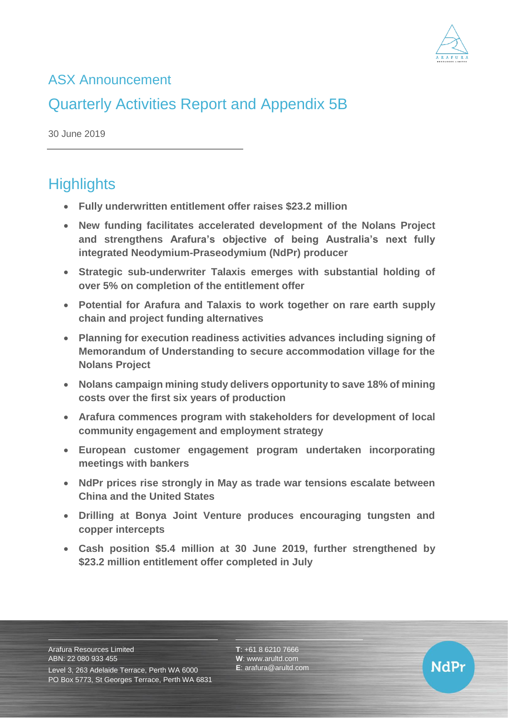

## ASX Announcement

# Quarterly Activities Report and Appendix 5B

30 June 2019

# **Highlights**

- **Fully underwritten entitlement offer raises \$23.2 million**
- **New funding facilitates accelerated development of the Nolans Project and strengthens Arafura's objective of being Australia's next fully integrated Neodymium-Praseodymium (NdPr) producer**
- **Strategic sub-underwriter Talaxis emerges with substantial holding of over 5% on completion of the entitlement offer**
- **Potential for Arafura and Talaxis to work together on rare earth supply chain and project funding alternatives**
- **Planning for execution readiness activities advances including signing of Memorandum of Understanding to secure accommodation village for the Nolans Project**
- **Nolans campaign mining study delivers opportunity to save 18% of mining costs over the first six years of production**
- **Arafura commences program with stakeholders for development of local community engagement and employment strategy**
- **European customer engagement program undertaken incorporating meetings with bankers**
- **NdPr prices rise strongly in May as trade war tensions escalate between China and the United States**
- **Drilling at Bonya Joint Venture produces encouraging tungsten and copper intercepts**
- **Cash position \$5.4 million at 30 June 2019, further strengthened by \$23.2 million entitlement offer completed in July**

Arafura Resources Limited ABN: 22 080 933 455

Level 3, 263 Adelaide Terrace, Perth WA 6000 PO Box 5773, St Georges Terrace, Perth WA 6831 **T**: +61 8 6210 7666 **W**: [www.arultd.com](http://www.arultd.com/) **E**: [arafura@arultd.com](mailto:arafura@arultd.com)

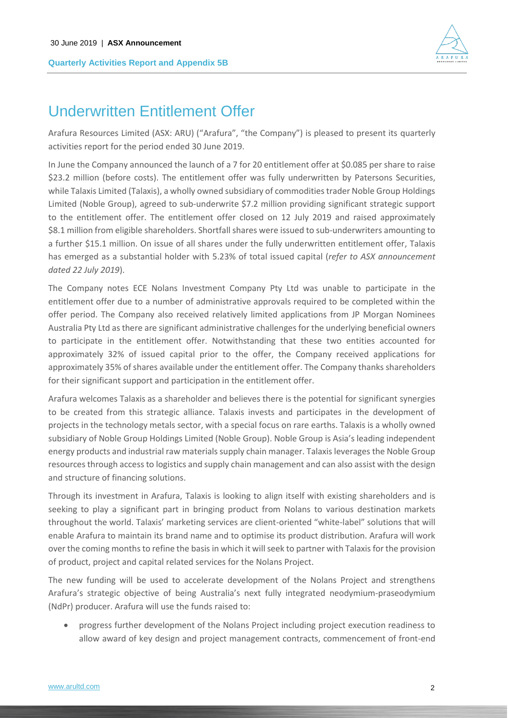

## Underwritten Entitlement Offer

Arafura Resources Limited (ASX: ARU) ("Arafura", "the Company") is pleased to present its quarterly activities report for the period ended 30 June 2019.

In June the Company announced the launch of a 7 for 20 entitlement offer at \$0.085 per share to raise \$23.2 million (before costs). The entitlement offer was fully underwritten by Patersons Securities, while Talaxis Limited (Talaxis), a wholly owned subsidiary of commodities trader Noble Group Holdings Limited (Noble Group), agreed to sub-underwrite \$7.2 million providing significant strategic support to the entitlement offer. The entitlement offer closed on 12 July 2019 and raised approximately \$8.1 million from eligible shareholders. Shortfall shares were issued to sub-underwriters amounting to a further \$15.1 million. On issue of all shares under the fully underwritten entitlement offer, Talaxis has emerged as a substantial holder with 5.23% of total issued capital (*refer to ASX announcement dated 22 July 2019*).

The Company notes ECE Nolans Investment Company Pty Ltd was unable to participate in the entitlement offer due to a number of administrative approvals required to be completed within the offer period. The Company also received relatively limited applications from JP Morgan Nominees Australia Pty Ltd as there are significant administrative challenges for the underlying beneficial owners to participate in the entitlement offer. Notwithstanding that these two entities accounted for approximately 32% of issued capital prior to the offer, the Company received applications for approximately 35% of shares available under the entitlement offer. The Company thanks shareholders for their significant support and participation in the entitlement offer.

Arafura welcomes Talaxis as a shareholder and believes there is the potential for significant synergies to be created from this strategic alliance. Talaxis invests and participates in the development of projects in the technology metals sector, with a special focus on rare earths. Talaxis is a wholly owned subsidiary of Noble Group Holdings Limited (Noble Group). Noble Group is Asia's leading independent energy products and industrial raw materials supply chain manager. Talaxis leverages the Noble Group resources through access to logistics and supply chain management and can also assist with the design and structure of financing solutions.

Through its investment in Arafura, Talaxis is looking to align itself with existing shareholders and is seeking to play a significant part in bringing product from Nolans to various destination markets throughout the world. Talaxis' marketing services are client-oriented "white-label" solutions that will enable Arafura to maintain its brand name and to optimise its product distribution. Arafura will work over the coming months to refine the basis in which it will seek to partner with Talaxis for the provision of product, project and capital related services for the Nolans Project.

The new funding will be used to accelerate development of the Nolans Project and strengthens Arafura's strategic objective of being Australia's next fully integrated neodymium-praseodymium (NdPr) producer. Arafura will use the funds raised to:

• progress further development of the Nolans Project including project execution readiness to allow award of key design and project management contracts, commencement of front-end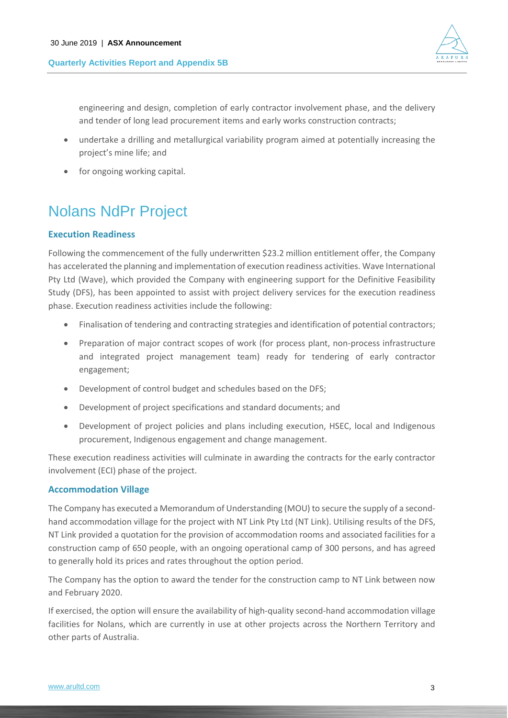

engineering and design, completion of early contractor involvement phase, and the delivery and tender of long lead procurement items and early works construction contracts;

- undertake a drilling and metallurgical variability program aimed at potentially increasing the project's mine life; and
- for ongoing working capital.

# Nolans NdPr Project

## **Execution Readiness**

Following the commencement of the fully underwritten \$23.2 million entitlement offer, the Company has accelerated the planning and implementation of execution readiness activities. Wave International Pty Ltd (Wave), which provided the Company with engineering support for the Definitive Feasibility Study (DFS), has been appointed to assist with project delivery services for the execution readiness phase. Execution readiness activities include the following:

- Finalisation of tendering and contracting strategies and identification of potential contractors;
- Preparation of major contract scopes of work (for process plant, non-process infrastructure and integrated project management team) ready for tendering of early contractor engagement;
- Development of control budget and schedules based on the DFS;
- Development of project specifications and standard documents; and
- Development of project policies and plans including execution, HSEC, local and Indigenous procurement, Indigenous engagement and change management.

These execution readiness activities will culminate in awarding the contracts for the early contractor involvement (ECI) phase of the project.

## **Accommodation Village**

The Company has executed a Memorandum of Understanding (MOU) to secure the supply of a secondhand accommodation village for the project with NT Link Pty Ltd (NT Link). Utilising results of the DFS, NT Link provided a quotation for the provision of accommodation rooms and associated facilities for a construction camp of 650 people, with an ongoing operational camp of 300 persons, and has agreed to generally hold its prices and rates throughout the option period.

The Company has the option to award the tender for the construction camp to NT Link between now and February 2020.

If exercised, the option will ensure the availability of high-quality second-hand accommodation village facilities for Nolans, which are currently in use at other projects across the Northern Territory and other parts of Australia.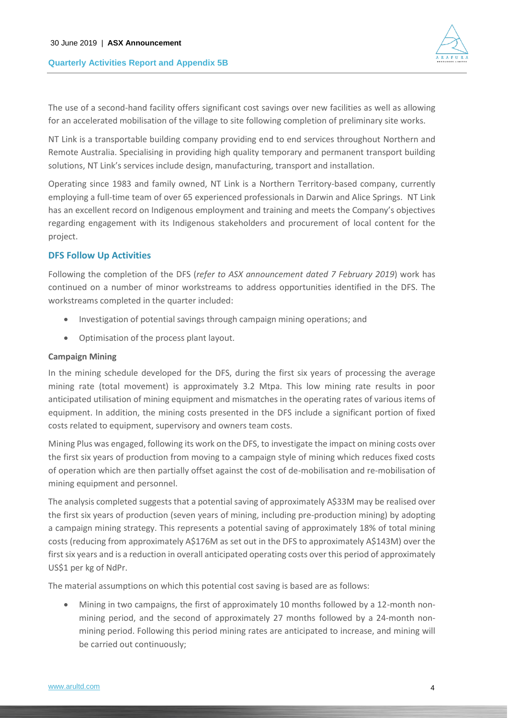

The use of a second-hand facility offers significant cost savings over new facilities as well as allowing for an accelerated mobilisation of the village to site following completion of preliminary site works.

NT Link is a transportable building company providing end to end services throughout Northern and Remote Australia. Specialising in providing high quality temporary and permanent transport building solutions, NT Link's services include design, manufacturing, transport and installation.

Operating since 1983 and family owned, NT Link is a Northern Territory-based company, currently employing a full-time team of over 65 experienced professionals in Darwin and Alice Springs. NT Link has an excellent record on Indigenous employment and training and meets the Company's objectives regarding engagement with its Indigenous stakeholders and procurement of local content for the project.

## **DFS Follow Up Activities**

Following the completion of the DFS (*refer to ASX announcement dated 7 February 2019*) work has continued on a number of minor workstreams to address opportunities identified in the DFS. The workstreams completed in the quarter included:

- Investigation of potential savings through campaign mining operations; and
- Optimisation of the process plant layout.

## **Campaign Mining**

In the mining schedule developed for the DFS, during the first six years of processing the average mining rate (total movement) is approximately 3.2 Mtpa. This low mining rate results in poor anticipated utilisation of mining equipment and mismatches in the operating rates of various items of equipment. In addition, the mining costs presented in the DFS include a significant portion of fixed costs related to equipment, supervisory and owners team costs.

Mining Plus was engaged, following its work on the DFS, to investigate the impact on mining costs over the first six years of production from moving to a campaign style of mining which reduces fixed costs of operation which are then partially offset against the cost of de-mobilisation and re-mobilisation of mining equipment and personnel.

The analysis completed suggests that a potential saving of approximately A\$33M may be realised over the first six years of production (seven years of mining, including pre-production mining) by adopting a campaign mining strategy. This represents a potential saving of approximately 18% of total mining costs (reducing from approximately A\$176M as set out in the DFS to approximately A\$143M) over the first six years and is a reduction in overall anticipated operating costs over this period of approximately US\$1 per kg of NdPr.

The material assumptions on which this potential cost saving is based are as follows:

• Mining in two campaigns, the first of approximately 10 months followed by a 12-month nonmining period, and the second of approximately 27 months followed by a 24-month nonmining period. Following this period mining rates are anticipated to increase, and mining will be carried out continuously;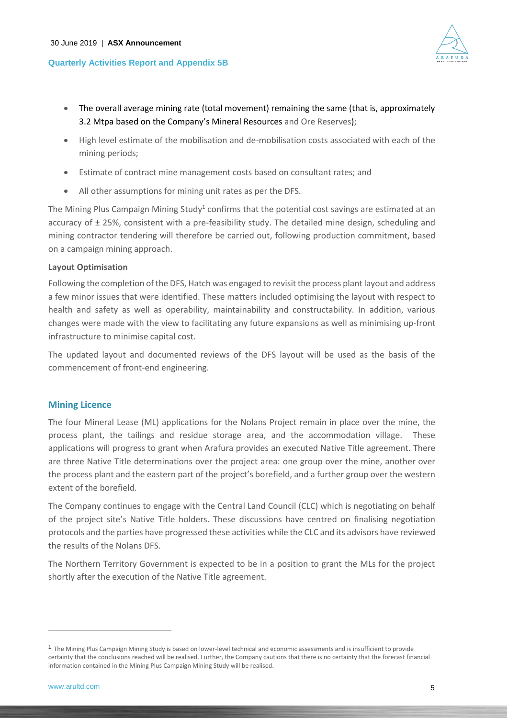



- The overall average mining rate (total movement) remaining the same (that is, approximately 3.2 Mtpa based on the Company's Mineral Resources and Ore Reserves);
- High level estimate of the mobilisation and de-mobilisation costs associated with each of the mining periods;
- Estimate of contract mine management costs based on consultant rates; and
- All other assumptions for mining unit rates as per the DFS.

The Mining Plus Campaign Mining Study<sup>1</sup> confirms that the potential cost savings are estimated at an accuracy of ± 25%, consistent with a pre-feasibility study. The detailed mine design, scheduling and mining contractor tendering will therefore be carried out, following production commitment, based on a campaign mining approach.

## **Layout Optimisation**

Following the completion of the DFS, Hatch was engaged to revisit the process plant layout and address a few minor issues that were identified. These matters included optimising the layout with respect to health and safety as well as operability, maintainability and constructability. In addition, various changes were made with the view to facilitating any future expansions as well as minimising up-front infrastructure to minimise capital cost.

The updated layout and documented reviews of the DFS layout will be used as the basis of the commencement of front-end engineering.

## **Mining Licence**

The four Mineral Lease (ML) applications for the Nolans Project remain in place over the mine, the process plant, the tailings and residue storage area, and the accommodation village. These applications will progress to grant when Arafura provides an executed Native Title agreement. There are three Native Title determinations over the project area: one group over the mine, another over the process plant and the eastern part of the project's borefield, and a further group over the western extent of the borefield.

The Company continues to engage with the Central Land Council (CLC) which is negotiating on behalf of the project site's Native Title holders. These discussions have centred on finalising negotiation protocols and the parties have progressed these activities while the CLC and its advisors have reviewed the results of the Nolans DFS.

The Northern Territory Government is expected to be in a position to grant the MLs for the project shortly after the execution of the Native Title agreement.

 $\overline{a}$ 

<sup>&</sup>lt;sup>1</sup> The Mining Plus Campaign Mining Study is based on lower-level technical and economic assessments and is insufficient to provide certainty that the conclusions reached will be realised. Further, the Company cautions that there is no certainty that the forecast financial information contained in the Mining Plus Campaign Mining Study will be realised.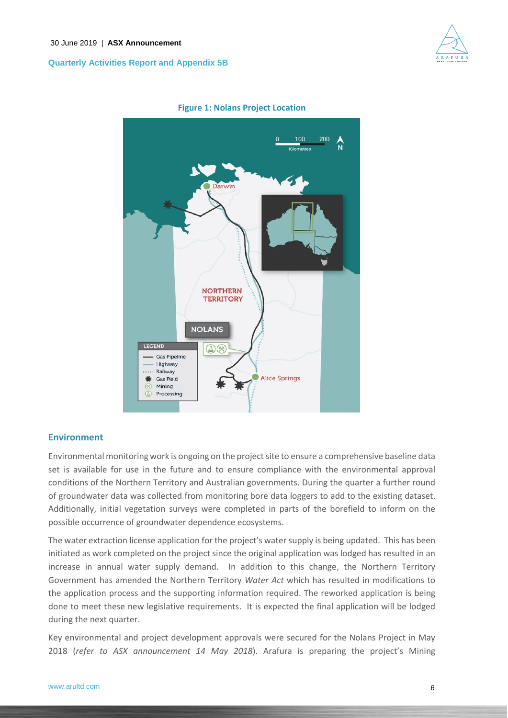



#### **Figure 1: Nolans Project Location**

## **Environment**

Environmental monitoring work is ongoing on the project site to ensure a comprehensive baseline data set is available for use in the future and to ensure compliance with the environmental approval conditions of the Northern Territory and Australian governments. During the quarter a further round of groundwater data was collected from monitoring bore data loggers to add to the existing dataset. Additionally, initial vegetation surveys were completed in parts of the borefield to inform on the possible occurrence of groundwater dependence ecosystems.

The water extraction license application for the project's water supply is being updated. This has been initiated as work completed on the project since the original application was lodged has resulted in an increase in annual water supply demand. In addition to this change, the Northern Territory Government has amended the Northern Territory *Water Act* which has resulted in modifications to the application process and the supporting information required. The reworked application is being done to meet these new legislative requirements. It is expected the final application will be lodged during the next quarter.

Key environmental and project development approvals were secured for the Nolans Project in May 2018 (*refer to ASX announcement 14 May 2018*). Arafura is preparing the project's Mining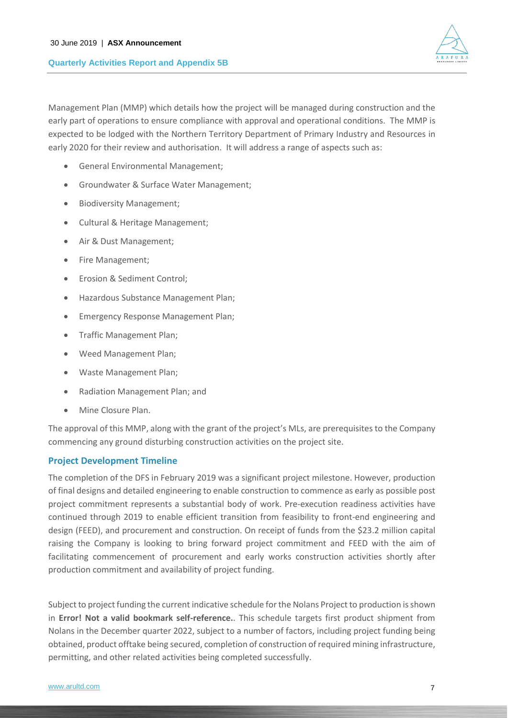

Management Plan (MMP) which details how the project will be managed during construction and the early part of operations to ensure compliance with approval and operational conditions. The MMP is expected to be lodged with the Northern Territory Department of Primary Industry and Resources in early 2020 for their review and authorisation. It will address a range of aspects such as:

- General Environmental Management;
- Groundwater & Surface Water Management;
- Biodiversity Management;
- Cultural & Heritage Management;
- Air & Dust Management;
- Fire Management;
- Erosion & Sediment Control;
- Hazardous Substance Management Plan;
- Emergency Response Management Plan;
- Traffic Management Plan;
- Weed Management Plan;
- Waste Management Plan;
- Radiation Management Plan; and
- Mine Closure Plan.

The approval of this MMP, along with the grant of the project's MLs, are prerequisites to the Company commencing any ground disturbing construction activities on the project site.

## **Project Development Timeline**

The completion of the DFS in February 2019 was a significant project milestone. However, production of final designs and detailed engineering to enable construction to commence as early as possible post project commitment represents a substantial body of work. Pre-execution readiness activities have continued through 2019 to enable efficient transition from feasibility to front-end engineering and design (FEED), and procurement and construction. On receipt of funds from the \$23.2 million capital raising the Company is looking to bring forward project commitment and FEED with the aim of facilitating commencement of procurement and early works construction activities shortly after production commitment and availability of project funding.

Subject to project funding the current indicative schedule for the Nolans Project to production isshown in **Error! Not a valid bookmark self-reference.**. This schedule targets first product shipment from Nolans in the December quarter 2022, subject to a number of factors, including project funding being obtained, product offtake being secured, completion of construction of required mining infrastructure, permitting, and other related activities being completed successfully.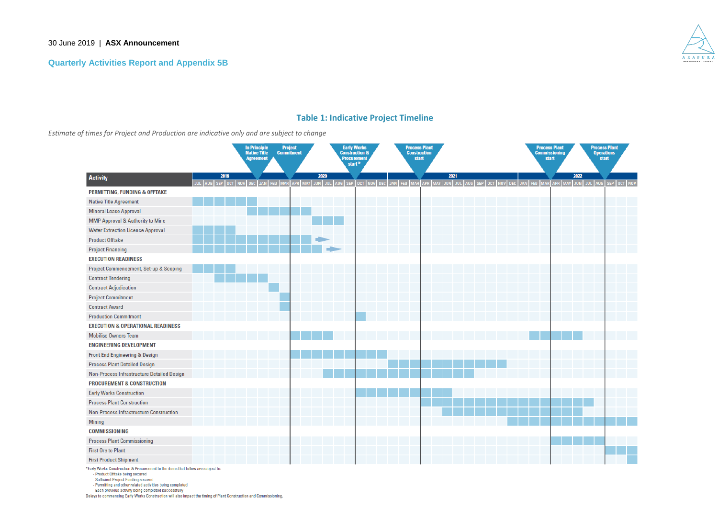

## **Table 1: Indicative Project Timeline**

*Estimate of times for Project and Production are indicative only and are subject to change*

|                                                                                                                                                                                                                                                                                   |      | In Principle<br>Native Title<br><b>Agreement</b> | <b>Project</b><br><b>Commitment</b> |      | <b>Early Works<br/>Construction &amp;</b><br><b>Procurement</b><br>start $*$ |                                             | <b>Process Plant</b><br><b>Construction</b><br>start |      |  |                                                 | <b>Process Plant</b><br>Commissioning<br>start |      | <b>Process Plant</b><br><b>Operations</b><br>start |  |
|-----------------------------------------------------------------------------------------------------------------------------------------------------------------------------------------------------------------------------------------------------------------------------------|------|--------------------------------------------------|-------------------------------------|------|------------------------------------------------------------------------------|---------------------------------------------|------------------------------------------------------|------|--|-------------------------------------------------|------------------------------------------------|------|----------------------------------------------------|--|
| <b>Activity</b>                                                                                                                                                                                                                                                                   | 2019 | JUL AUG SEP OCT NOV DEC JAN FEB MAR              | APR MAY JUN                         | 2020 |                                                                              | JUL AUG SEP OCT NOV DEC JAN FEB MAR APR MAY |                                                      | 2021 |  | JUN JUL AUG SEP OCT NOV DEC JAN FEB MAR APR MAY |                                                | 2022 | JUN JUL AUG SEP OCT NOV                            |  |
| <b>PERMITTING, FUNDING &amp; OFFTAKE</b>                                                                                                                                                                                                                                          |      |                                                  |                                     |      |                                                                              |                                             |                                                      |      |  |                                                 |                                                |      |                                                    |  |
| <b>Native Title Agreement</b>                                                                                                                                                                                                                                                     |      |                                                  |                                     |      |                                                                              |                                             |                                                      |      |  |                                                 |                                                |      |                                                    |  |
| <b>Mineral Lease Approval</b>                                                                                                                                                                                                                                                     |      |                                                  |                                     |      |                                                                              |                                             |                                                      |      |  |                                                 |                                                |      |                                                    |  |
| MMP Approval & Authority to Mine                                                                                                                                                                                                                                                  |      |                                                  |                                     |      |                                                                              |                                             |                                                      |      |  |                                                 |                                                |      |                                                    |  |
| <b>Water Extraction Licence Approval</b>                                                                                                                                                                                                                                          |      |                                                  |                                     |      |                                                                              |                                             |                                                      |      |  |                                                 |                                                |      |                                                    |  |
| <b>Product Offtake</b>                                                                                                                                                                                                                                                            |      |                                                  |                                     |      |                                                                              |                                             |                                                      |      |  |                                                 |                                                |      |                                                    |  |
| <b>Project Financing</b>                                                                                                                                                                                                                                                          |      |                                                  |                                     |      |                                                                              |                                             |                                                      |      |  |                                                 |                                                |      |                                                    |  |
| <b>EXECUTION READINESS</b>                                                                                                                                                                                                                                                        |      |                                                  |                                     |      |                                                                              |                                             |                                                      |      |  |                                                 |                                                |      |                                                    |  |
| Project Commencement, Set-up & Scoping                                                                                                                                                                                                                                            |      |                                                  |                                     |      |                                                                              |                                             |                                                      |      |  |                                                 |                                                |      |                                                    |  |
| <b>Contract Tendering</b>                                                                                                                                                                                                                                                         |      |                                                  |                                     |      |                                                                              |                                             |                                                      |      |  |                                                 |                                                |      |                                                    |  |
| <b>Contract Adjudication</b>                                                                                                                                                                                                                                                      |      |                                                  |                                     |      |                                                                              |                                             |                                                      |      |  |                                                 |                                                |      |                                                    |  |
| <b>Project Commitment</b>                                                                                                                                                                                                                                                         |      |                                                  |                                     |      |                                                                              |                                             |                                                      |      |  |                                                 |                                                |      |                                                    |  |
| <b>Contract Award</b>                                                                                                                                                                                                                                                             |      |                                                  |                                     |      |                                                                              |                                             |                                                      |      |  |                                                 |                                                |      |                                                    |  |
| <b>Production Commitment</b>                                                                                                                                                                                                                                                      |      |                                                  |                                     |      |                                                                              |                                             |                                                      |      |  |                                                 |                                                |      |                                                    |  |
| <b>EXECUTION &amp; OPERATIONAL READINESS</b>                                                                                                                                                                                                                                      |      |                                                  |                                     |      |                                                                              |                                             |                                                      |      |  |                                                 |                                                |      |                                                    |  |
| <b>Mobilise Owners Team</b>                                                                                                                                                                                                                                                       |      |                                                  |                                     |      |                                                                              |                                             |                                                      |      |  |                                                 |                                                |      |                                                    |  |
| <b>ENGINEERING DEVELOPMENT</b>                                                                                                                                                                                                                                                    |      |                                                  |                                     |      |                                                                              |                                             |                                                      |      |  |                                                 |                                                |      |                                                    |  |
| Front End Engineering & Design                                                                                                                                                                                                                                                    |      |                                                  |                                     |      |                                                                              |                                             |                                                      |      |  |                                                 |                                                |      |                                                    |  |
| <b>Process Plant Detailed Design</b>                                                                                                                                                                                                                                              |      |                                                  |                                     |      |                                                                              |                                             |                                                      |      |  |                                                 |                                                |      |                                                    |  |
| Non-Process Infrastructure Detailed Design                                                                                                                                                                                                                                        |      |                                                  |                                     |      |                                                                              |                                             |                                                      |      |  |                                                 |                                                |      |                                                    |  |
| <b>PROCUREMENT &amp; CONSTRUCTION</b>                                                                                                                                                                                                                                             |      |                                                  |                                     |      |                                                                              |                                             |                                                      |      |  |                                                 |                                                |      |                                                    |  |
| <b>Early Works Construction</b>                                                                                                                                                                                                                                                   |      |                                                  |                                     |      |                                                                              |                                             |                                                      |      |  |                                                 |                                                |      |                                                    |  |
| <b>Process Plant Construction</b>                                                                                                                                                                                                                                                 |      |                                                  |                                     |      |                                                                              |                                             |                                                      |      |  |                                                 |                                                |      |                                                    |  |
| Non-Process Infrastructure Construction                                                                                                                                                                                                                                           |      |                                                  |                                     |      |                                                                              |                                             |                                                      |      |  |                                                 |                                                |      |                                                    |  |
| <b>Mining</b>                                                                                                                                                                                                                                                                     |      |                                                  |                                     |      |                                                                              |                                             |                                                      |      |  |                                                 |                                                |      |                                                    |  |
| <b>COMMISSIONING</b>                                                                                                                                                                                                                                                              |      |                                                  |                                     |      |                                                                              |                                             |                                                      |      |  |                                                 |                                                |      |                                                    |  |
| <b>Process Plant Commissioning</b>                                                                                                                                                                                                                                                |      |                                                  |                                     |      |                                                                              |                                             |                                                      |      |  |                                                 |                                                |      |                                                    |  |
| <b>First Ore to Plant</b>                                                                                                                                                                                                                                                         |      |                                                  |                                     |      |                                                                              |                                             |                                                      |      |  |                                                 |                                                |      |                                                    |  |
| <b>First Product Shipment</b>                                                                                                                                                                                                                                                     |      |                                                  |                                     |      |                                                                              |                                             |                                                      |      |  |                                                 |                                                |      |                                                    |  |
| *Early Works Construction & Procurement to the items that follow are subject to:<br>- Product Offtake being secured<br>- Sufficient Project Funding secured<br>- Permitting and other related activities being completed<br>- Each previous activity being completed successfully |      |                                                  |                                     |      |                                                                              |                                             |                                                      |      |  |                                                 |                                                |      |                                                    |  |

Delays to commencing Early Works Construction will also impact the timing of Plant Construction and Commissioning.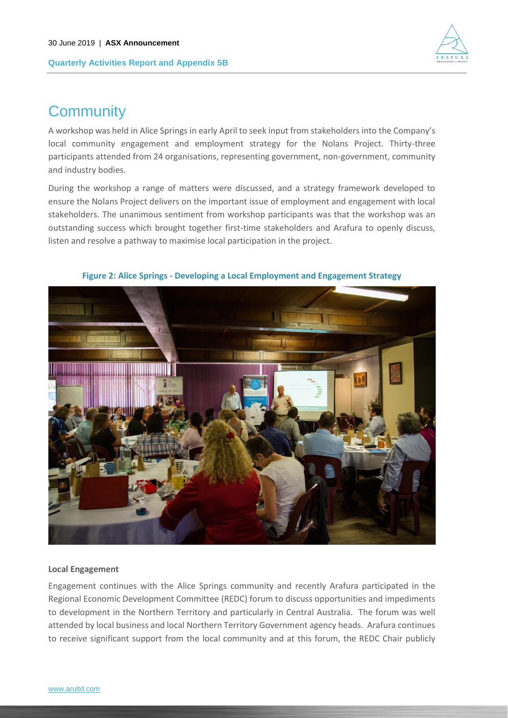

## **Community**

A workshop was held in Alice Springs in early April to seek input from stakeholders into the Company's local community engagement and employment strategy for the Nolans Project. Thirty-three participants attended from 24 organisations, representing government, non-government, community and industry bodies.

During the workshop a range of matters were discussed, and a strategy framework developed to ensure the Nolans Project delivers on the important issue of employment and engagement with local stakeholders. The unanimous sentiment from workshop participants was that the workshop was an outstanding success which brought together first-time stakeholders and Arafura to openly discuss, listen and resolve a pathway to maximise local participation in the project.



**Figure 2: Alice Springs - Developing a Local Employment and Engagement Strategy**

#### **Local Engagement**

Engagement continues with the Alice Springs community and recently Arafura participated in the Regional Economic Development Committee (REDC) forum to discuss opportunities and impediments to development in the Northern Territory and particularly in Central Australia. The forum was well attended by local business and local Northern Territory Government agency heads. Arafura continues to receive significant support from the local community and at this forum, the REDC Chair publicly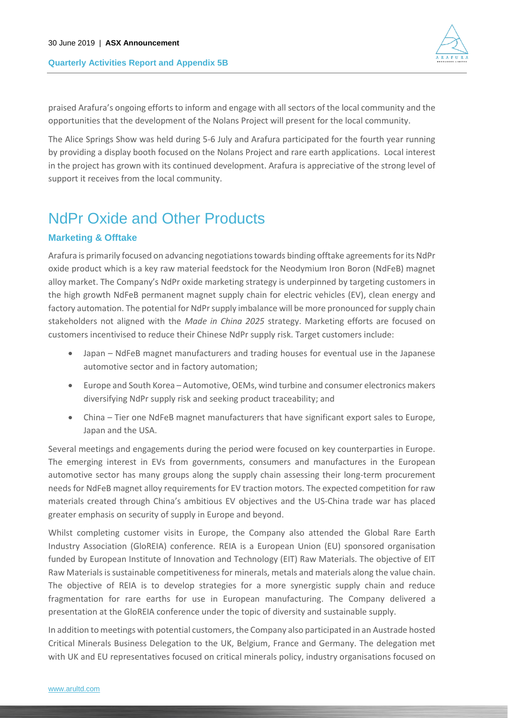

praised Arafura's ongoing efforts to inform and engage with all sectors of the local community and the opportunities that the development of the Nolans Project will present for the local community.

The Alice Springs Show was held during 5-6 July and Arafura participated for the fourth year running by providing a display booth focused on the Nolans Project and rare earth applications. Local interest in the project has grown with its continued development. Arafura is appreciative of the strong level of support it receives from the local community.

## NdPr Oxide and Other Products

## **Marketing & Offtake**

Arafura is primarily focused on advancing negotiations towards binding offtake agreements for its NdPr oxide product which is a key raw material feedstock for the Neodymium Iron Boron (NdFeB) magnet alloy market. The Company's NdPr oxide marketing strategy is underpinned by targeting customers in the high growth NdFeB permanent magnet supply chain for electric vehicles (EV), clean energy and factory automation. The potential for NdPr supply imbalance will be more pronounced for supply chain stakeholders not aligned with the *Made in China 2025* strategy. Marketing efforts are focused on customers incentivised to reduce their Chinese NdPr supply risk. Target customers include:

- Japan NdFeB magnet manufacturers and trading houses for eventual use in the Japanese automotive sector and in factory automation;
- Europe and South Korea Automotive, OEMs, wind turbine and consumer electronics makers diversifying NdPr supply risk and seeking product traceability; and
- China Tier one NdFeB magnet manufacturers that have significant export sales to Europe, Japan and the USA.

Several meetings and engagements during the period were focused on key counterparties in Europe. The emerging interest in EVs from governments, consumers and manufactures in the European automotive sector has many groups along the supply chain assessing their long-term procurement needs for NdFeB magnet alloy requirements for EV traction motors. The expected competition for raw materials created through China's ambitious EV objectives and the US-China trade war has placed greater emphasis on security of supply in Europe and beyond.

Whilst completing customer visits in Europe, the Company also attended the Global Rare Earth Industry Association (GloREIA) conference. REIA is a European Union (EU) sponsored organisation funded by European Institute of Innovation and Technology (EIT) Raw Materials. The objective of EIT Raw Materials is sustainable competitiveness for minerals, metals and materials along the value chain. The objective of REIA is to develop strategies for a more synergistic supply chain and reduce fragmentation for rare earths for use in European manufacturing. The Company delivered a presentation at the GloREIA conference under the topic of diversity and sustainable supply.

In addition to meetings with potential customers, the Company also participated in an Austrade hosted Critical Minerals Business Delegation to the UK, Belgium, France and Germany. The delegation met with UK and EU representatives focused on critical minerals policy, industry organisations focused on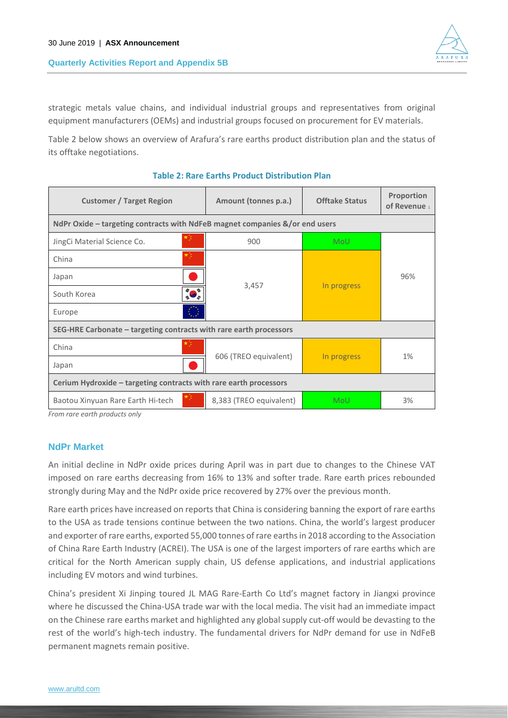

strategic metals value chains, and individual industrial groups and representatives from original equipment manufacturers (OEMs) and industrial groups focused on procurement for EV materials.

[Table 2](#page-10-0) below shows an overview of Arafura's rare earths product distribution plan and the status of its offtake negotiations.

<span id="page-10-0"></span>

| <b>Customer / Target Region</b>                                    | Amount (tonnes p.a.)                                                        | <b>Offtake Status</b> | Proportion<br>of Revenue 1 |  |  |  |  |  |
|--------------------------------------------------------------------|-----------------------------------------------------------------------------|-----------------------|----------------------------|--|--|--|--|--|
|                                                                    | NdPr Oxide - targeting contracts with NdFeB magnet companies &/or end users |                       |                            |  |  |  |  |  |
| JingCi Material Science Co.                                        | 900                                                                         | <b>MoU</b>            |                            |  |  |  |  |  |
| China                                                              |                                                                             |                       |                            |  |  |  |  |  |
| Japan                                                              |                                                                             |                       | 96%                        |  |  |  |  |  |
| South Korea                                                        | 3,457                                                                       | In progress           |                            |  |  |  |  |  |
| Europe                                                             |                                                                             |                       |                            |  |  |  |  |  |
| SEG-HRE Carbonate - targeting contracts with rare earth processors |                                                                             |                       |                            |  |  |  |  |  |
| China                                                              |                                                                             |                       |                            |  |  |  |  |  |
| Japan                                                              | 606 (TREO equivalent)                                                       | In progress           | 1%                         |  |  |  |  |  |
| Cerium Hydroxide – targeting contracts with rare earth processors  |                                                                             |                       |                            |  |  |  |  |  |
| Baotou Xinyuan Rare Earth Hi-tech                                  | 8,383 (TREO equivalent)                                                     | MoU                   | 3%                         |  |  |  |  |  |

#### **Table 2: Rare Earths Product Distribution Plan**

*From rare earth products only*

## **NdPr Market**

An initial decline in NdPr oxide prices during April was in part due to changes to the Chinese VAT imposed on rare earths decreasing from 16% to 13% and softer trade. Rare earth prices rebounded strongly during May and the NdPr oxide price recovered by 27% over the previous month.

Rare earth prices have increased on reports that China is considering banning the export of rare earths to the USA as trade tensions continue between the two nations. China, the world's largest producer and exporter of rare earths, exported 55,000 tonnes of rare earths in 2018 according to the Association of China Rare Earth Industry (ACREI). The USA is one of the largest importers of rare earths which are critical for the North American supply chain, US defense applications, and industrial applications including EV motors and wind turbines.

China's president Xi Jinping toured JL MAG Rare-Earth Co Ltd's magnet factory in Jiangxi province where he discussed the China-USA trade war with the local media. The visit had an immediate impact on the Chinese rare earths market and highlighted any global supply cut-off would be devasting to the rest of the world's high-tech industry. The fundamental drivers for NdPr demand for use in NdFeB permanent magnets remain positive.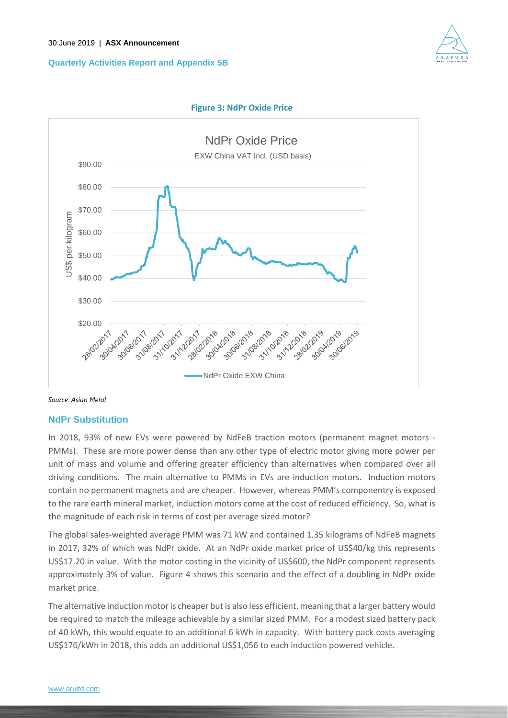





*Source: Asian Metal*

## **NdPr Substitution**

In 2018, 93% of new EVs were powered by NdFeB traction motors (permanent magnet motors - PMMs). These are more power dense than any other type of electric motor giving more power per unit of mass and volume and offering greater efficiency than alternatives when compared over all driving conditions. The main alternative to PMMs in EVs are induction motors. Induction motors contain no permanent magnets and are cheaper. However, whereas PMM's componentry is exposed to the rare earth mineral market, induction motors come at the cost of reduced efficiency. So, what is the magnitude of each risk in terms of cost per average sized motor?

The global sales-weighted average PMM was 71 kW and contained 1.35 kilograms of NdFeB magnets in 2017, 32% of which was NdPr oxide. At an NdPr oxide market price of US\$40/kg this represents US\$17.20 in value. With the motor costing in the vicinity of US\$600, the NdPr component represents approximately 3% of value. [Figure 4](#page-12-0) shows this scenario and the effect of a doubling in NdPr oxide market price.

The alternative induction motor is cheaper but is also less efficient, meaning that a larger battery would be required to match the mileage achievable by a similar sized PMM. For a modest sized battery pack of 40 kWh, this would equate to an additional 6 kWh in capacity. With battery pack costs averaging US\$176/kWh in 2018, this adds an additional US\$1,056 to each induction powered vehicle.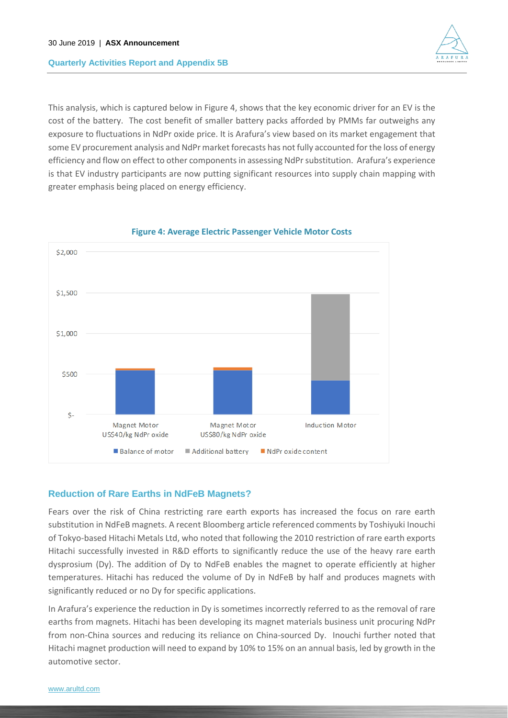

This analysis, which is captured below i[n Figure 4,](#page-12-0) shows that the key economic driver for an EV is the cost of the battery. The cost benefit of smaller battery packs afforded by PMMs far outweighs any exposure to fluctuations in NdPr oxide price. It is Arafura's view based on its market engagement that some EV procurement analysis and NdPr market forecasts has not fully accounted for the loss of energy efficiency and flow on effect to other components in assessing NdPr substitution. Arafura's experience is that EV industry participants are now putting significant resources into supply chain mapping with greater emphasis being placed on energy efficiency.

<span id="page-12-0"></span>

## **Figure 4: Average Electric Passenger Vehicle Motor Costs**

## **Reduction of Rare Earths in NdFeB Magnets?**

Fears over the risk of China restricting rare earth exports has increased the focus on rare earth substitution in NdFeB magnets. A recent Bloomberg article referenced comments by Toshiyuki Inouchi of Tokyo-based Hitachi Metals Ltd, who noted that following the 2010 restriction of rare earth exports Hitachi successfully invested in R&D efforts to significantly reduce the use of the heavy rare earth dysprosium (Dy). The addition of Dy to NdFeB enables the magnet to operate efficiently at higher temperatures. Hitachi has reduced the volume of Dy in NdFeB by half and produces magnets with significantly reduced or no Dy for specific applications.

In Arafura's experience the reduction in Dy is sometimes incorrectly referred to as the removal of rare earths from magnets. Hitachi has been developing its magnet materials business unit procuring NdPr from non-China sources and reducing its reliance on China-sourced Dy. Inouchi further noted that Hitachi magnet production will need to expand by 10% to 15% on an annual basis, led by growth in the automotive sector.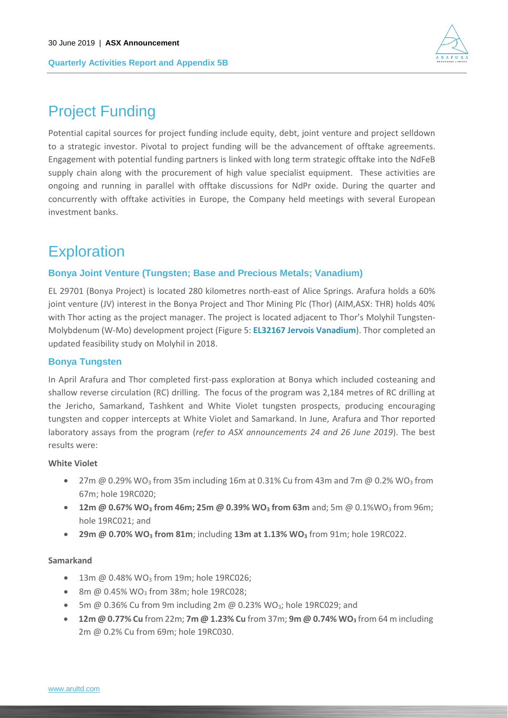

## Project Funding

Potential capital sources for project funding include equity, debt, joint venture and project selldown to a strategic investor. Pivotal to project funding will be the advancement of offtake agreements. Engagement with potential funding partners is linked with long term strategic offtake into the NdFeB supply chain along with the procurement of high value specialist equipment. These activities are ongoing and running in parallel with offtake discussions for NdPr oxide. During the quarter and concurrently with offtake activities in Europe, the Company held meetings with several European investment banks.

## **Exploration**

## **Bonya Joint Venture (Tungsten; Base and Precious Metals; Vanadium)**

EL 29701 (Bonya Project) is located 280 kilometres north-east of Alice Springs. Arafura holds a 60% joint venture (JV) interest in the Bonya Project and Thor Mining Plc (Thor) (AIM,ASX: THR) holds 40% with Thor acting as the project manager. The project is located adjacent to Thor's Molyhil Tungsten-Molybdenum (W-Mo) development project (Figure 5: **[EL32167 Jervois Vanadium](#page-14-0)**). Thor completed an updated feasibility study on Molyhil in 2018.

## **Bonya Tungsten**

In April Arafura and Thor completed first-pass exploration at Bonya which included costeaning and shallow reverse circulation (RC) drilling. The focus of the program was 2,184 metres of RC drilling at the Jericho, Samarkand, Tashkent and White Violet tungsten prospects, producing encouraging tungsten and copper intercepts at White Violet and Samarkand. In June, Arafura and Thor reported laboratory assays from the program (*refer to ASX announcements 24 and 26 June 2019*). The best results were:

## **White Violet**

- 27m @ 0.29% WO<sub>3</sub> from 35m including 16m at 0.31% Cu from 43m and 7m @ 0.2% WO<sub>3</sub> from 67m; hole 19RC020;
- 12m @ 0.67% WO<sub>3</sub> from 46m; 25m @ 0.39% WO<sub>3</sub> from 63m and; 5m @ 0.1%WO<sub>3</sub> from 96m; hole 19RC021; and
- **29m @ 0.70% WO<sup>3</sup> from 81m**; including **13m at 1.13% WO<sup>3</sup>** from 91m; hole 19RC022.

## **Samarkand**

- 13m  $@$  0.48% WO<sub>3</sub> from 19m; hole 19RC026;
- 8m  $@$  0.45% WO<sub>3</sub> from 38m; hole 19RC028;
- 5m  $\omega$  0.36% Cu from 9m including 2m  $\omega$  0.23% WO<sub>3</sub>; hole 19RC029; and
- **12m @ 0.77% Cu** from 22m; **7m @ 1.23% Cu** from 37m; **9m @ 0.74% WO<sup>3</sup>** from 64 m including 2m @ 0.2% Cu from 69m; hole 19RC030.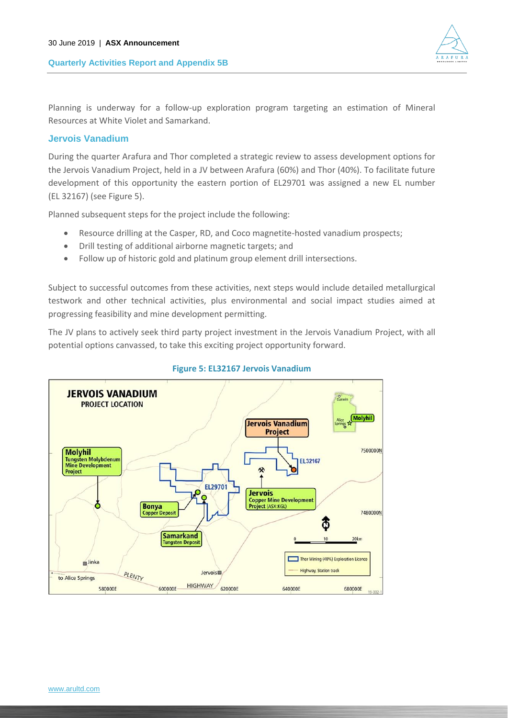

Planning is underway for a follow-up exploration program targeting an estimation of Mineral Resources at White Violet and Samarkand.

## **Jervois Vanadium**

During the quarter Arafura and Thor completed a strategic review to assess development options for the Jervois Vanadium Project, held in a JV between Arafura (60%) and Thor (40%). To facilitate future development of this opportunity the eastern portion of EL29701 was assigned a new EL number (EL 32167) (see Figure 5).

Planned subsequent steps for the project include the following:

- Resource drilling at the Casper, RD, and Coco magnetite-hosted vanadium prospects;
- Drill testing of additional airborne magnetic targets; and
- Follow up of historic gold and platinum group element drill intersections.

Subject to successful outcomes from these activities, next steps would include detailed metallurgical testwork and other technical activities, plus environmental and social impact studies aimed at progressing feasibility and mine development permitting.

The JV plans to actively seek third party project investment in the Jervois Vanadium Project, with all potential options canvassed, to take this exciting project opportunity forward.

<span id="page-14-0"></span>

## **Figure 5: EL32167 Jervois Vanadium**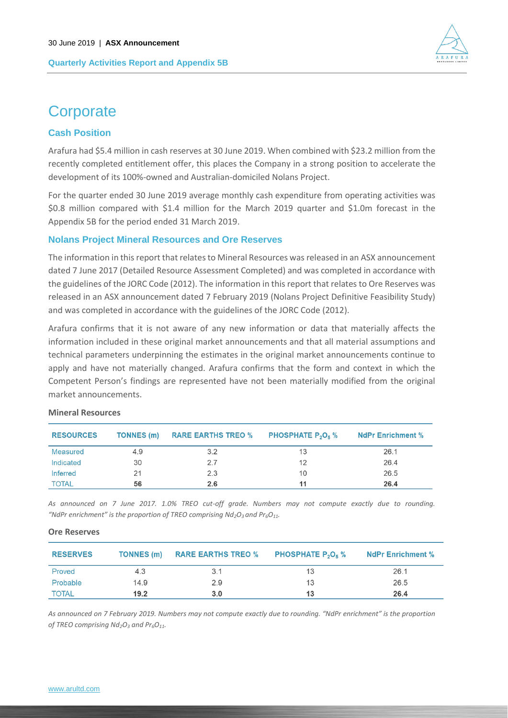

## **Corporate**

## **Cash Position**

Arafura had \$5.4 million in cash reserves at 30 June 2019. When combined with \$23.2 million from the recently completed entitlement offer, this places the Company in a strong position to accelerate the development of its 100%-owned and Australian-domiciled Nolans Project.

For the quarter ended 30 June 2019 average monthly cash expenditure from operating activities was \$0.8 million compared with \$1.4 million for the March 2019 quarter and \$1.0m forecast in the Appendix 5B for the period ended 31 March 2019.

## **Nolans Project Mineral Resources and Ore Reserves**

The information in this report that relates to Mineral Resources was released in an ASX announcement dated 7 June 2017 (Detailed Resource Assessment Completed) and was completed in accordance with the guidelines of the JORC Code (2012). The information in this report that relates to Ore Reserves was released in an ASX announcement dated 7 February 2019 (Nolans Project Definitive Feasibility Study) and was completed in accordance with the guidelines of the JORC Code (2012).

Arafura confirms that it is not aware of any new information or data that materially affects the information included in these original market announcements and that all material assumptions and technical parameters underpinning the estimates in the original market announcements continue to apply and have not materially changed. Arafura confirms that the form and context in which the Competent Person's findings are represented have not been materially modified from the original market announcements.

| <b>RESOURCES</b> | TONNES (m) | <b>RARE EARTHS TREO %</b> | <b>PHOSPHATE <math>P_2O_5</math> %</b> | <b>NdPr Enrichment %</b> |
|------------------|------------|---------------------------|----------------------------------------|--------------------------|
| Measured         | 4.9        | 3.2                       | 13                                     | 26.1                     |
| Indicated        | 30         | 2.7                       | 12                                     | 26.4                     |
| Inferred         | 21         | 2.3                       | 10                                     | 26.5                     |
| <b>TOTAL</b>     | 56         | 2.6                       | 11                                     | 26.4                     |

## **Mineral Resources**

*As announced on 7 June 2017. 1.0% TREO cut-off grade. Numbers may not compute exactly due to rounding. "NdPr enrichment" is the proportion of TREO comprising Nd2O3 and Pr6O11.*

| <b>RESERVES</b> | TONNES (m) | <b>RARE EARTHS TREO %</b> | <b>PHOSPHATE P<sub>2</sub>O<sub>5</sub> %</b> | <b>NdPr Enrichment %</b> |
|-----------------|------------|---------------------------|-----------------------------------------------|--------------------------|
| Proved          | 4.3        | 3.1                       | 13                                            | 26.1                     |
| Probable        | 14.9       | 2.9                       | 13                                            | 26.5                     |
| <b>TOTAL</b>    | 19.2       | 3.0                       | 13                                            | 26.4                     |

## **Ore Reserves**

*As announced on 7 February 2019. Numbers may not compute exactly due to rounding. "NdPr enrichment" is the proportion of TREO comprising Nd2O<sup>3</sup> and Pr6O11.*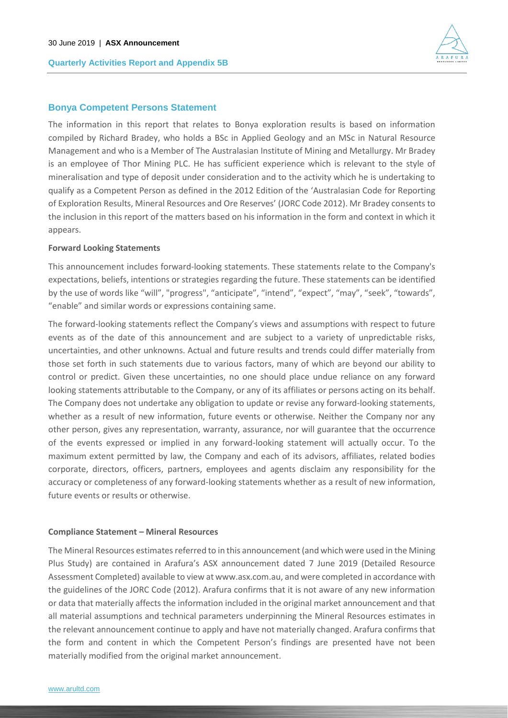

## **Bonya Competent Persons Statement**

The information in this report that relates to Bonya exploration results is based on information compiled by Richard Bradey, who holds a BSc in Applied Geology and an MSc in Natural Resource Management and who is a Member of The Australasian Institute of Mining and Metallurgy. Mr Bradey is an employee of Thor Mining PLC. He has sufficient experience which is relevant to the style of mineralisation and type of deposit under consideration and to the activity which he is undertaking to qualify as a Competent Person as defined in the 2012 Edition of the 'Australasian Code for Reporting of Exploration Results, Mineral Resources and Ore Reserves' (JORC Code 2012). Mr Bradey consents to the inclusion in this report of the matters based on his information in the form and context in which it appears.

#### **Forward Looking Statements**

This announcement includes forward-looking statements. These statements relate to the Company's expectations, beliefs, intentions or strategies regarding the future. These statements can be identified by the use of words like "will", "progress", "anticipate", "intend", "expect", "may", "seek", "towards", "enable" and similar words or expressions containing same.

The forward-looking statements reflect the Company's views and assumptions with respect to future events as of the date of this announcement and are subject to a variety of unpredictable risks, uncertainties, and other unknowns. Actual and future results and trends could differ materially from those set forth in such statements due to various factors, many of which are beyond our ability to control or predict. Given these uncertainties, no one should place undue reliance on any forward looking statements attributable to the Company, or any of its affiliates or persons acting on its behalf. The Company does not undertake any obligation to update or revise any forward-looking statements, whether as a result of new information, future events or otherwise. Neither the Company nor any other person, gives any representation, warranty, assurance, nor will guarantee that the occurrence of the events expressed or implied in any forward-looking statement will actually occur. To the maximum extent permitted by law, the Company and each of its advisors, affiliates, related bodies corporate, directors, officers, partners, employees and agents disclaim any responsibility for the accuracy or completeness of any forward-looking statements whether as a result of new information, future events or results or otherwise.

#### **Compliance Statement – Mineral Resources**

The Mineral Resources estimates referred to in this announcement (and which were used in the Mining Plus Study) are contained in Arafura's ASX announcement dated 7 June 2019 (Detailed Resource Assessment Completed) available to view at www.asx.com.au, and were completed in accordance with the guidelines of the JORC Code (2012). Arafura confirms that it is not aware of any new information or data that materially affects the information included in the original market announcement and that all material assumptions and technical parameters underpinning the Mineral Resources estimates in the relevant announcement continue to apply and have not materially changed. Arafura confirms that the form and content in which the Competent Person's findings are presented have not been materially modified from the original market announcement.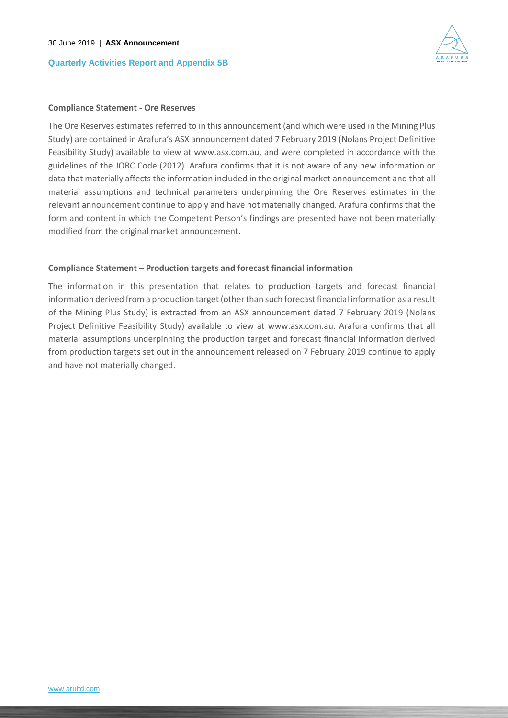

#### **Compliance Statement - Ore Reserves**

The Ore Reserves estimates referred to in this announcement (and which were used in the Mining Plus Study) are contained in Arafura's ASX announcement dated 7 February 2019 (Nolans Project Definitive Feasibility Study) available to view at www.asx.com.au, and were completed in accordance with the guidelines of the JORC Code (2012). Arafura confirms that it is not aware of any new information or data that materially affects the information included in the original market announcement and that all material assumptions and technical parameters underpinning the Ore Reserves estimates in the relevant announcement continue to apply and have not materially changed. Arafura confirms that the form and content in which the Competent Person's findings are presented have not been materially modified from the original market announcement.

#### **Compliance Statement – Production targets and forecast financial information**

The information in this presentation that relates to production targets and forecast financial information derived from a production target (other than such forecast financial information as a result of the Mining Plus Study) is extracted from an ASX announcement dated 7 February 2019 (Nolans Project Definitive Feasibility Study) available to view at www.asx.com.au. Arafura confirms that all material assumptions underpinning the production target and forecast financial information derived from production targets set out in the announcement released on 7 February 2019 continue to apply and have not materially changed.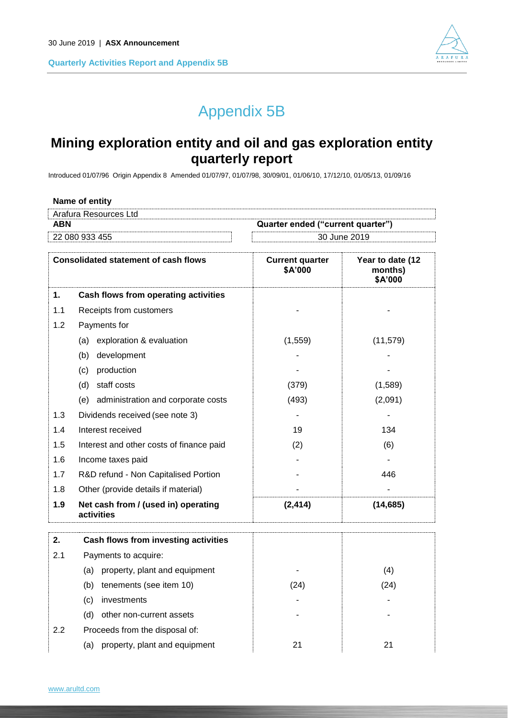

# Appendix 5B

## **Mining exploration entity and oil and gas exploration entity quarterly report**

Introduced 01/07/96 Origin Appendix 8 Amended 01/07/97, 01/07/98, 30/09/01, 01/06/10, 17/12/10, 01/05/13, 01/09/16

|                                                 | Name of entity                              |                                   |                                        |
|-------------------------------------------------|---------------------------------------------|-----------------------------------|----------------------------------------|
|                                                 | Arafura Resources Ltd                       |                                   |                                        |
| <b>ABN</b><br>Quarter ended ("current quarter") |                                             |                                   |                                        |
|                                                 | 22 080 933 455                              |                                   | 30 June 2019                           |
|                                                 | <b>Consolidated statement of cash flows</b> | <b>Current quarter</b><br>\$A'000 | Year to date (12<br>months)<br>\$A'000 |
| 1.                                              | Cash flows from operating activities        |                                   |                                        |
| 1.1                                             | Receipts from customers                     |                                   |                                        |
| 1.2                                             | Payments for                                |                                   |                                        |
|                                                 | exploration & evaluation<br>(a)             | (1,559)                           | (11, 579)                              |
|                                                 | development<br>(b)                          |                                   |                                        |
|                                                 | production<br>(c)                           |                                   |                                        |
|                                                 | $(d)$ otaff coots                           | (270)                             | (4.500)                                |

| 1.9 | Net cash from / (used in) operating<br>activities | (2, 414) | (14, 685) |
|-----|---------------------------------------------------|----------|-----------|
| 1.8 | Other (provide details if material)               |          |           |
| 1.7 | R&D refund - Non Capitalised Portion              |          | 446       |
| 1.6 | Income taxes paid                                 |          |           |
| 1.5 | Interest and other costs of finance paid          | (2)      | (6)       |
| 1.4 | Interest received                                 | 19       | 134       |
| 1.3 | Dividends received (see note 3)                   |          |           |
|     | administration and corporate costs<br>(e)         | (493)    | (2,091)   |
|     | staff costs<br>(d)                                | (379)    | (1,589)   |

| 2.  | Cash flows from investing activities |      |      |
|-----|--------------------------------------|------|------|
| 2.1 | Payments to acquire:                 |      |      |
|     | property, plant and equipment<br>(a) | ۰    | (4)  |
|     | tenements (see item 10)<br>(b)       | (24) | (24) |
|     | investments<br>(c)                   | ٠    |      |
|     | other non-current assets<br>(d)      | ۰    | -    |
| 2.2 | Proceeds from the disposal of:       |      |      |
|     | property, plant and equipment<br>(a) | 21   | 21   |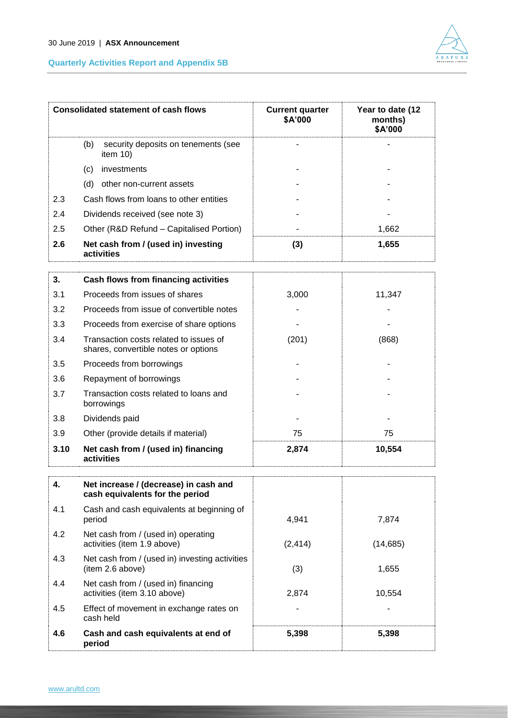

|     | <b>Consolidated statement of cash flows</b>               | <b>Current quarter</b><br>\$A'000 | Year to date (12<br>months)<br>\$A'000 |
|-----|-----------------------------------------------------------|-----------------------------------|----------------------------------------|
|     | (b)<br>security deposits on tenements (see<br>item $10$ ) |                                   |                                        |
|     | investments<br>(c)                                        |                                   |                                        |
|     | other non-current assets<br>(d)                           |                                   |                                        |
| 2.3 | Cash flows from loans to other entities                   |                                   |                                        |
| 2.4 | Dividends received (see note 3)                           |                                   |                                        |
| 2.5 | Other (R&D Refund – Capitalised Portion)                  |                                   | 1.662                                  |
| 2.6 | Net cash from / (used in) investing<br>activities         | (3)                               | 1,655                                  |

| 3.   | Cash flows from financing activities                                           |       |        |
|------|--------------------------------------------------------------------------------|-------|--------|
| 3.1  | Proceeds from issues of shares                                                 | 3,000 | 11,347 |
| 3.2  | Proceeds from issue of convertible notes                                       |       |        |
| 3.3  | Proceeds from exercise of share options                                        |       |        |
| 3.4  | Transaction costs related to issues of<br>shares, convertible notes or options | (201) | (868)  |
| 3.5  | Proceeds from borrowings                                                       |       |        |
| 3.6  | Repayment of borrowings                                                        |       |        |
| 3.7  | Transaction costs related to loans and<br>borrowings                           |       |        |
| 3.8  | Dividends paid                                                                 |       |        |
| 3.9  | Other (provide details if material)                                            | 75    | 75     |
| 3.10 | Net cash from / (used in) financing<br>activities                              | 2,874 | 10,554 |

| 4.  | Net increase / (decrease) in cash and<br>cash equivalents for the period |          |           |
|-----|--------------------------------------------------------------------------|----------|-----------|
| 4.1 | Cash and cash equivalents at beginning of<br>period                      | 4.941    | 7.874     |
| 4.2 | Net cash from / (used in) operating<br>activities (item 1.9 above)       | (2, 414) | (14, 685) |
| 4.3 | Net cash from / (used in) investing activities<br>(item 2.6 above)       | (3)      | 1,655     |
| 4.4 | Net cash from / (used in) financing<br>activities (item 3.10 above)      | 2,874    | 10.554    |
| 4.5 | Effect of movement in exchange rates on<br>cash held                     |          |           |
| 4.6 | Cash and cash equivalents at end of<br>period                            | 5,398    | 5,398     |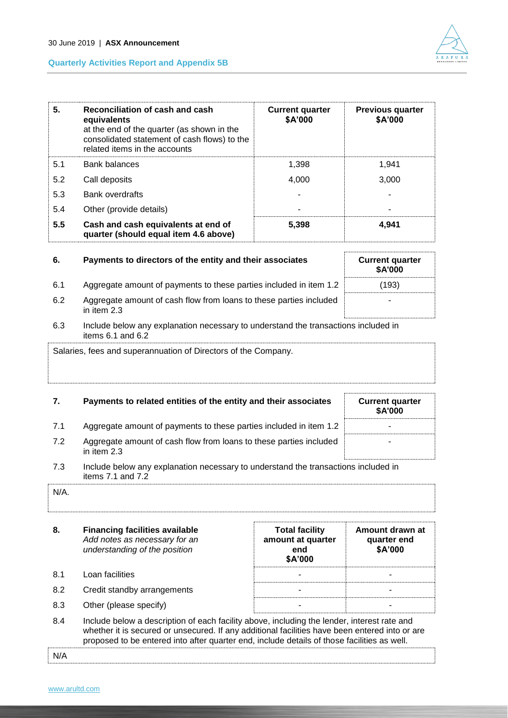



| 5.  | Reconciliation of cash and cash<br>equivalents<br>at the end of the quarter (as shown in the<br>consolidated statement of cash flows) to the<br>related items in the accounts | <b>Current quarter</b><br>\$A'000 | <b>Previous quarter</b><br>\$A'000 |
|-----|-------------------------------------------------------------------------------------------------------------------------------------------------------------------------------|-----------------------------------|------------------------------------|
| 5.1 | <b>Bank balances</b>                                                                                                                                                          | 1.398                             | 1.941                              |
| 5.2 | Call deposits                                                                                                                                                                 | 4,000                             | 3,000                              |
| 5.3 | <b>Bank overdrafts</b>                                                                                                                                                        |                                   |                                    |
| 5.4 | Other (provide details)                                                                                                                                                       |                                   |                                    |
| 5.5 | Cash and cash equivalents at end of<br>quarter (should equal item 4.6 above)                                                                                                  | 5,398                             | 4,941                              |

| 6.  | Payments to directors of the entity and their associates                            | <b>Current quarter</b><br>\$A'000 |
|-----|-------------------------------------------------------------------------------------|-----------------------------------|
| 6.1 | Aggregate amount of payments to these parties included in item 1.2                  | (193)                             |
| 6.2 | Aggregate amount of cash flow from loans to these parties included<br>in item $2.3$ |                                   |
| 6.3 | Include below any explanation necessary to understand the transactions included in  |                                   |

# items 6.1 and 6.2

Salaries, fees and superannuation of Directors of the Company.

## **7.** Payments to related entities of the entity and their associates Current quarter

|     |                                                                                                                | <b>\$A'000</b> |
|-----|----------------------------------------------------------------------------------------------------------------|----------------|
| 7.1 | Aggregate amount of payments to these parties included in item 1.2                                             |                |
| 7.2 | Aggregate amount of cash flow from loans to these parties included<br>in item $2.3$                            |                |
|     | to attenta to the comparent and a comparence of a construction of the comparent and the total of the total sta |                |

7.3 Include below any explanation necessary to understand the transactions included in items 7.1 and 7.2

| N/A. |  |  |
|------|--|--|
|      |  |  |

| 8.                 | <b>Financing facilities available</b><br>Add notes as necessary for an<br>understanding of the position | <b>Total facility</b><br>amount at quarter<br>end<br>\$A'000 | Amount drawn at<br>quarter end<br>\$A'000 |  |  |
|--------------------|---------------------------------------------------------------------------------------------------------|--------------------------------------------------------------|-------------------------------------------|--|--|
| 8.1                | Loan facilities                                                                                         |                                                              |                                           |  |  |
| 8.2                | Credit standby arrangements                                                                             |                                                              |                                           |  |  |
| 8.3                | Other (please specify)                                                                                  |                                                              |                                           |  |  |
| $\Omega$ $\Lambda$ | loclude helow a description of each facility above including the lender interest rate and               |                                                              |                                           |  |  |

8.4 Include below a description of each facility above, including the lender, interest rate and whether it is secured or unsecured. If any additional facilities have been entered into or are proposed to be entered into after quarter end, include details of those facilities as well.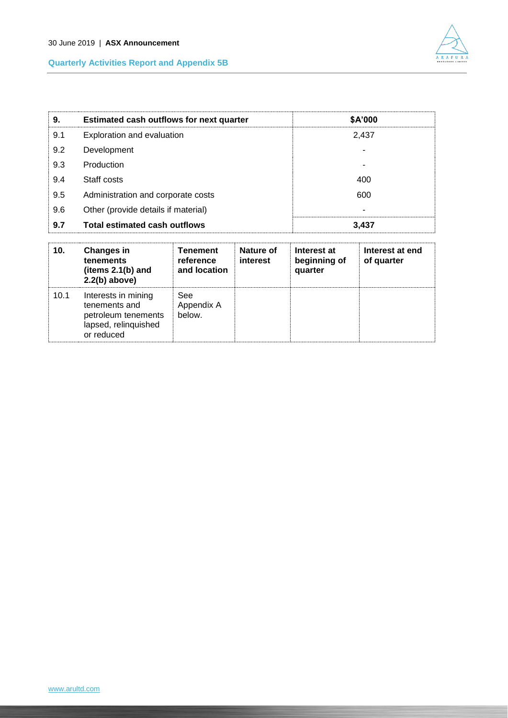

| 9.  | Estimated cash outflows for next quarter | \$A'000 |
|-----|------------------------------------------|---------|
| 9.1 | Exploration and evaluation               | 2,437   |
| 9.2 | Development                              |         |
| 9.3 | Production                               |         |
| 9.4 | Staff costs                              | 400     |
| 9.5 | Administration and corporate costs       | 600     |
| 9.6 | Other (provide details if material)      |         |
| 9.7 | <b>Total estimated cash outflows</b>     | 3,437   |

| 10.  | <b>Changes in</b><br>tenements<br>(items $2.1(b)$ and<br>$2.2(b)$ above)                          | Tenement<br>reference<br>and location | Nature of<br>interest | Interest at<br>beginning of<br>quarter | Interest at end<br>of quarter |
|------|---------------------------------------------------------------------------------------------------|---------------------------------------|-----------------------|----------------------------------------|-------------------------------|
| 10.1 | Interests in mining<br>tenements and<br>petroleum tenements<br>lapsed, relinquished<br>or reduced | See<br>Appendix A<br>below.           |                       |                                        |                               |